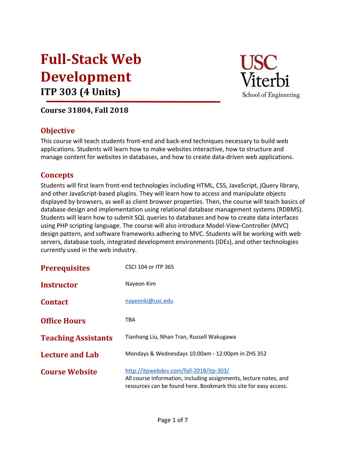# Full-Stack Web Development ITP 303 (4 Units)



## Course 31804, Fall 2018

## **Objective**

This course will teach students front-end and back-end techniques necessary to build web applications. Students will learn how to make websites interactive, how to structure and manage content for websites in databases, and how to create data-driven web applications.

## **Concepts**

Students will first learn front-end technologies including HTML, CSS, JavaScript, jQuery library, and other JavaScript-based plugins. They will learn how to access and manipulate objects displayed by browsers, as well as client browser properties. Then, the course will teach basics of database design and implementation using relational database management systems (RDBMS). Students will learn how to submit SQL queries to databases and how to create data interfaces using PHP scripting language. The course will also introduce Model-View-Controller (MVC) design pattern, and software frameworks adhering to MVC. Students will be working with web servers, database tools, integrated development environments (IDEs), and other technologies currently used in the web industry.

| <b>Prerequisites</b>       | CSCI 104 or ITP 365                                                                                                                                                              |  |
|----------------------------|----------------------------------------------------------------------------------------------------------------------------------------------------------------------------------|--|
| <b>Instructor</b>          | Nayeon Kim                                                                                                                                                                       |  |
| <b>Contact</b>             | nayeonki@usc.edu                                                                                                                                                                 |  |
| <b>Office Hours</b>        | TBA                                                                                                                                                                              |  |
| <b>Teaching Assistants</b> | Tianhang Liu, Nhan Tran, Russell Wakugawa                                                                                                                                        |  |
| <b>Lecture and Lab</b>     | Mondays & Wednesdays 10:00am - 12:00pm in ZHS 352                                                                                                                                |  |
| <b>Course Website</b>      | http://itpwebdev.com/fall-2018/itp-303/<br>All course information, including assignments, lecture notes, and<br>resources can be found here. Bookmark this site for easy access. |  |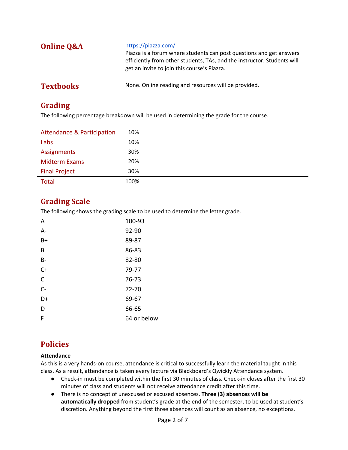| <b>Online Q&amp;A</b> | https://piazza.com/<br>Piazza is a forum where students can post questions and get answers<br>efficiently from other students, TAs, and the instructor. Students will<br>get an invite to join this course's Piazza. |
|-----------------------|----------------------------------------------------------------------------------------------------------------------------------------------------------------------------------------------------------------------|
| <b>Textbooks</b>      | None. Online reading and resources will be provided.                                                                                                                                                                 |

## Grading

The following percentage breakdown will be used in determining the grade for the course.

| <b>Attendance &amp; Participation</b> | 10%  |
|---------------------------------------|------|
| Labs                                  | 10%  |
| Assignments                           | 30%  |
| <b>Midterm Exams</b>                  | 20%  |
| <b>Final Project</b>                  | 30%  |
| <b>Total</b>                          | 100% |

## Grading Scale

The following shows the grading scale to be used to determine the letter grade.

| Α            | 100-93      |
|--------------|-------------|
| А-           | 92-90       |
| $B+$         | 89-87       |
| B            | 86-83       |
| <b>B-</b>    | 82-80       |
| $C+$         | 79-77       |
| $\mathsf{C}$ | 76-73       |
| $C -$        | 72-70       |
| D+           | 69-67       |
| D            | 66-65       |
| F            | 64 or below |

## Policies

#### Attendance

As this is a very hands-on course, attendance is critical to successfully learn the material taught in this class. As a result, attendance is taken every lecture via Blackboard's Qwickly Attendance system.

- Check-in must be completed within the first 30 minutes of class. Check-in closes after the first 30 minutes of class and students will not receive attendance credit after this time.
- There is no concept of unexcused or excused absences. Three (3) absences will be automatically dropped from student's grade at the end of the semester, to be used at student's discretion. Anything beyond the first three absences will count as an absence, no exceptions.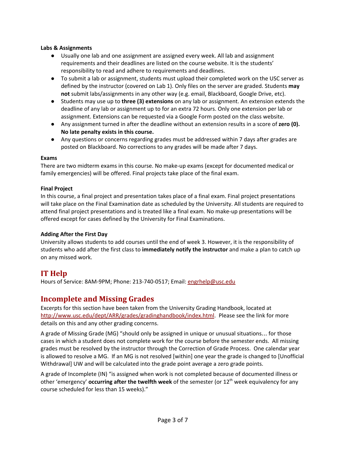#### Labs & Assignments

- Usually one lab and one assignment are assigned every week. All lab and assignment requirements and their deadlines are listed on the course website. It is the students' responsibility to read and adhere to requirements and deadlines.
- To submit a lab or assignment, students must upload their completed work on the USC server as defined by the instructor (covered on Lab 1). Only files on the server are graded. Students may not submit labs/assignments in any other way (e.g. email, Blackboard, Google Drive, etc).
- Students may use up to three (3) extensions on any lab or assignment. An extension extends the deadline of any lab or assignment up to for an extra 72 hours. Only one extension per lab or assignment. Extensions can be requested via a Google Form posted on the class website.
- Any assignment turned in after the deadline without an extension results in a score of zero (0). No late penalty exists in this course.
- Any questions or concerns regarding grades must be addressed within 7 days after grades are posted on Blackboard. No corrections to any grades will be made after 7 days.

#### Exams

There are two midterm exams in this course. No make-up exams (except for documented medical or family emergencies) will be offered. Final projects take place of the final exam.

#### Final Project

In this course, a final project and presentation takes place of a final exam. Final project presentations will take place on the Final Examination date as scheduled by the University. All students are required to attend final project presentations and is treated like a final exam. No make-up presentations will be offered except for cases defined by the University for Final Examinations.

#### Adding After the First Day

University allows students to add courses until the end of week 3. However, it is the responsibility of students who add after the first class to immediately notify the instructor and make a plan to catch up on any missed work.

### IT Help

Hours of Service: 8AM-9PM; Phone: 213-740-0517; Email: [engrhelp@usc.edu](mailto:engrhelp@usc.edu)

### Incomplete and Missing Grades

Excerpts for this section have been taken from the University Grading Handbook, located at <http://www.usc.edu/dept/ARR/grades/gradinghandbook/index.html>. Please see the link for more details on this and any other grading concerns.

A grade of Missing Grade (MG) "should only be assigned in unique or unusual situations… for those cases in which a student does not complete work for the course before the semester ends. All missing grades must be resolved by the instructor through the Correction of Grade Process. One calendar year is allowed to resolve a MG. If an MG is not resolved [within] one year the grade is changed to [Unofficial Withdrawal] UW and will be calculated into the grade point average a zero grade points.

A grade of Incomplete (IN) "is assigned when work is not completed because of documented illness or other 'emergency' **occurring after the twelfth week** of the semester (or  $12<sup>th</sup>$  week equivalency for any course scheduled for less than 15 weeks)."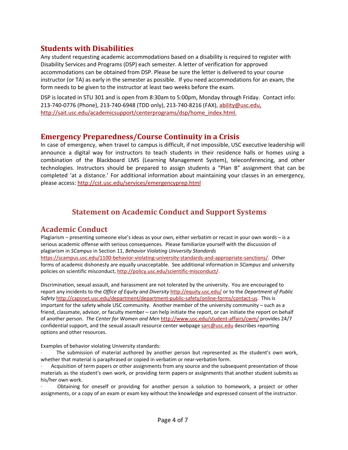#### Students with Disabilities

Any student requesting academic accommodations based on a disability is required to register with Disability Services and Programs (DSP) each semester. A letter of verification for approved accommodations can be obtained from DSP. Please be sure the letter is delivered to your course instructor (or TA) as early in the semester as possible. If you need accommodations for an exam, the form needs to be given to the instructor at least two weeks before the exam.

DSP is located in STU 301 and is open from 8:30am to 5:00pm, Monday through Friday. Contact info: 213-740-0776 (Phone), 213-740-6948 (TDD only), 213-740-8216 (FAX), [ability@usc.edu](mailto:ability@usc.edu), [http://sait.usc.edu/academicsupport/centerprograms/dsp/home\\_index.html.](http://sait.usc.edu/academicsupport/centerprograms/dsp/home_index.html)

#### Emergency Preparedness/Course Continuity in a Crisis

In case of emergency, when travel to campus is difficult, if not impossible, USC executive leadership will announce a digital way for instructors to teach students in their residence halls or homes using a combination of the Blackboard LMS (Learning Management System), teleconferencing, and other technologies. Instructors should be prepared to assign students a "Plan B" assignment that can be completed 'at a distance.' For additional information about maintaining your classes in an emergency, please access: <http://cst.usc.edu/services/emergencyprep.html>

## Statement on Academic Conduct and Support Systems

#### Academic Conduct

Plagiarism – presenting someone else's ideas as your own, either verbatim or recast in your own words – is a serious academic offense with serious consequences. Please familiarize yourself with the discussion of plagiarism in SCampus in Section 11, Behavior Violating University Standards <https://scampus.usc.edu/1100-behavior-violating-university-standards-and-appropriate-sanctions/>. Other forms of academic dishonesty are equally unacceptable. See additional information in SCampus and university policies on scientific misconduct, <http://policy.usc.edu/scientific-misconduct/>.

Discrimination, sexual assault, and harassment are not tolerated by the university. You are encouraged to report any incidents to the Office of Equity and Diversity <http://equity.usc.edu/> or to the Department of Public Safety [http://capsnet.usc.edu/department/department-public-safety/online-forms/contact-us.](http://capsnet.usc.edu/department/department-public-safety/online-forms/contact-us) This is important for the safety whole USC community. Another member of the university community – such as a friend, classmate, advisor, or faculty member – can help initiate the report, or can initiate the report on behalf of another person. The Center for Women and Men <http://www.usc.edu/student-affairs/cwm/> provides 24/7 confidential support, and the sexual assault resource center webpage [sarc@usc.edu](mailto:sarc@usc.edu) describes reporting options and other resources.

Examples of behavior violating University standards:

The submission of material authored by another person but represented as the student's own work, whether that material is paraphrased or copied in verbatim or near-verbatim form.

Acquisition of term papers or other assignments from any source and the subsequent presentation of those materials as the student's own work, or providing term papers or assignments that another student submits as his/her own work.

· Obtaining for oneself or providing for another person a solution to homework, a project or other assignments, or a copy of an exam or exam key without the knowledge and expressed consent of the instructor.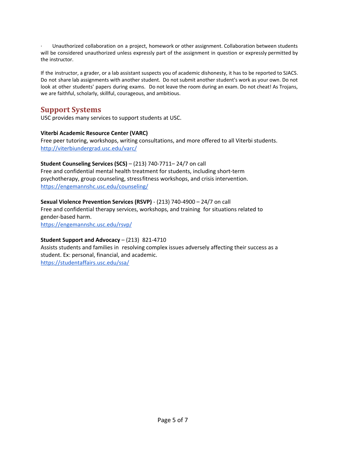· Unauthorized collaboration on a project, homework or other assignment. Collaboration between students will be considered unauthorized unless expressly part of the assignment in question or expressly permitted by the instructor.

If the instructor, a grader, or a lab assistant suspects you of academic dishonesty, it has to be reported to SJACS. Do not share lab assignments with another student. Do not submit another student's work as your own. Do not look at other students' papers during exams. Do not leave the room during an exam. Do not cheat! As Trojans, we are faithful, scholarly, skillful, courageous, and ambitious.

#### Support Systems

USC provides many services to support students at USC.

#### Viterbi Academic Resource Center (VARC)

Free peer tutoring, workshops, writing consultations, and more offered to all Viterbi students. <http://viterbiundergrad.usc.edu/varc/>

#### Student Counseling Services (SCS) – (213) 740-7711– 24/7 on call

Free and confidential mental health treatment for students, including short-term psychotherapy, group counseling, stressfitness workshops, and crisis intervention. <https://engemannshc.usc.edu/counseling/>

#### Sexual Violence Prevention Services (RSVP) - (213) 740-4900 – 24/7 on call

Free and confidential therapy services, workshops, and training for situations related to gender-based harm.

<https://engemannshc.usc.edu/rsvp/>

#### Student Support and Advocacy – (213) 821-4710

Assists students and families in resolving complex issues adversely affecting their success as a student. Ex: personal, financial, and academic. <https://studentaffairs.usc.edu/ssa/>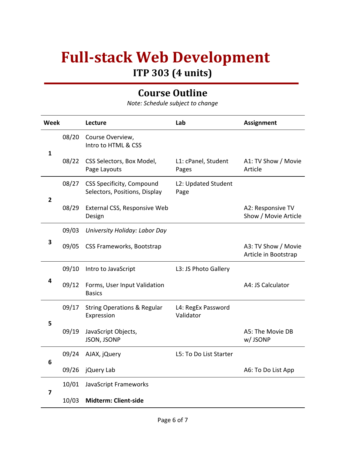# Full-stack Web Development ITP 303 (4 units)

## Course Outline

Note: Schedule subject to change

| <b>Week</b>  |       | Lecture                                                    | Lab                             | <b>Assignment</b>                           |
|--------------|-------|------------------------------------------------------------|---------------------------------|---------------------------------------------|
|              | 08/20 | Course Overview,<br>Intro to HTML & CSS                    |                                 |                                             |
| 1            | 08/22 | CSS Selectors, Box Model,<br>Page Layouts                  | L1: cPanel, Student<br>Pages    | A1: TV Show / Movie<br>Article              |
| $\mathbf{2}$ | 08/27 | CSS Specificity, Compound<br>Selectors, Positions, Display | L2: Updated Student<br>Page     |                                             |
|              | 08/29 | External CSS, Responsive Web<br>Design                     |                                 | A2: Responsive TV<br>Show / Movie Article   |
| 3            | 09/03 | University Holiday: Labor Day                              |                                 |                                             |
|              | 09/05 | CSS Frameworks, Bootstrap                                  |                                 | A3: TV Show / Movie<br>Article in Bootstrap |
| 4            | 09/10 | Intro to JavaScript                                        | L3: JS Photo Gallery            |                                             |
|              | 09/12 | Forms, User Input Validation<br><b>Basics</b>              |                                 | A4: JS Calculator                           |
| 5            | 09/17 | <b>String Operations &amp; Regular</b><br>Expression       | L4: RegEx Password<br>Validator |                                             |
|              | 09/19 | JavaScript Objects,<br>JSON, JSONP                         |                                 | A5: The Movie DB<br>w/JSONP                 |
| 6            | 09/24 | AJAX, jQuery                                               | L5: To Do List Starter          |                                             |
|              | 09/26 | jQuery Lab                                                 |                                 | A6: To Do List App                          |
| 7            | 10/01 | JavaScript Frameworks                                      |                                 |                                             |
|              | 10/03 | Midterm: Client-side                                       |                                 |                                             |